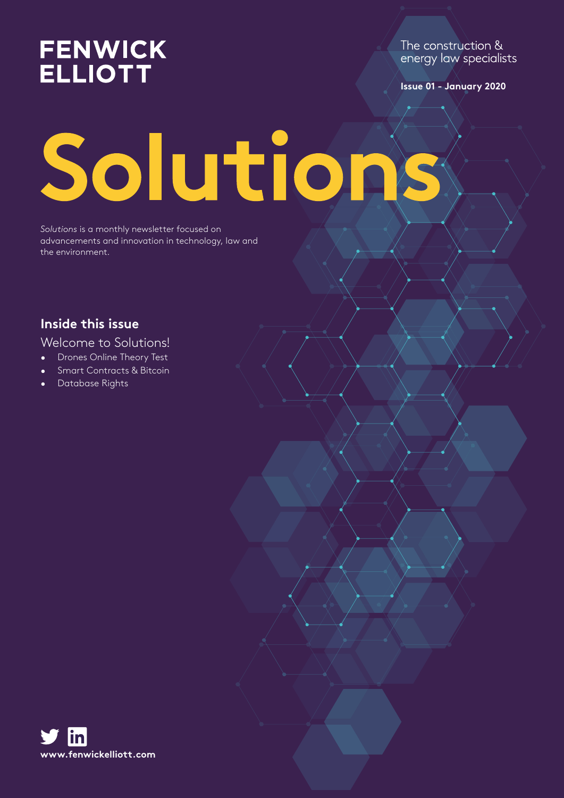# **FENWICK ELLIOTT**

The construction & energy law specialists

**Issue 01 - January 2020**

# Solutions

*Solutions* is a monthly newsletter focused on advancements and innovation in technology, law and the environment.

# **Inside this issue**

## Welcome to Solutions!

- Drones Online Theory Test
- Smart Contracts & Bitcoin
- Database Rights

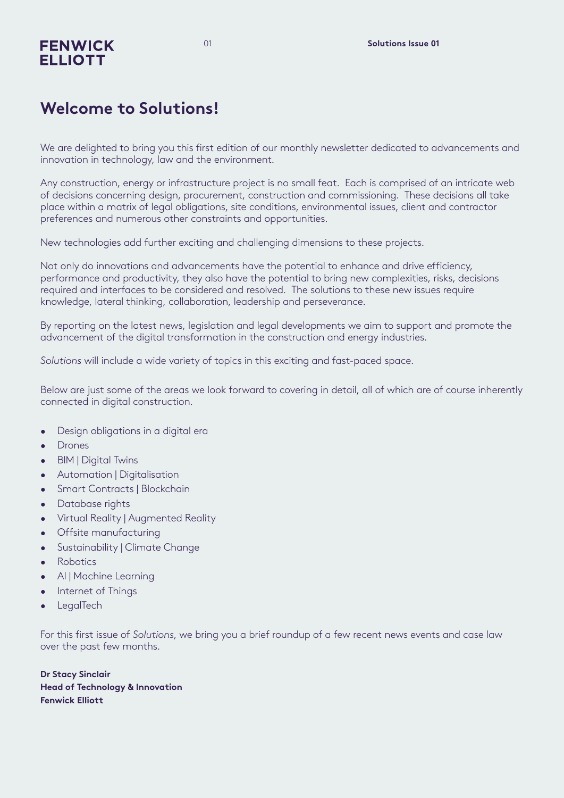# **FENWICK ELLIOTT**

# **Welcome to Solutions!**

We are delighted to bring you this first edition of our monthly newsletter dedicated to advancements and innovation in technology, law and the environment.

Any construction, energy or infrastructure project is no small feat. Each is comprised of an intricate web of decisions concerning design, procurement, construction and commissioning. These decisions all take place within a matrix of legal obligations, site conditions, environmental issues, client and contractor preferences and numerous other constraints and opportunities.

New technologies add further exciting and challenging dimensions to these projects.

Not only do innovations and advancements have the potential to enhance and drive efficiency, performance and productivity, they also have the potential to bring new complexities, risks, decisions required and interfaces to be considered and resolved. The solutions to these new issues require knowledge, lateral thinking, collaboration, leadership and perseverance.

By reporting on the latest news, legislation and legal developments we aim to support and promote the advancement of the digital transformation in the construction and energy industries.

*Solutions* will include a wide variety of topics in this exciting and fast-paced space.

Below are just some of the areas we look forward to covering in detail, all of which are of course inherently connected in digital construction.

- Desian obligations in a digital era
- Drones
- BIM | Digital Twins
- Automation | Digitalisation
- Smart Contracts | Blockchain
- Database rights
- Virtual Reality | Augmented Reality
- Offsite manufacturing
- Sustainability | Climate Change
- Robotics
- AI | Machine Learning
- Internet of Things
- **LegalTech**

For this first issue of *Solutions*, we bring you a brief roundup of a few recent news events and case law over the past few months.

**Dr Stacy Sinclair Head of Technology & Innovation Fenwick Elliott**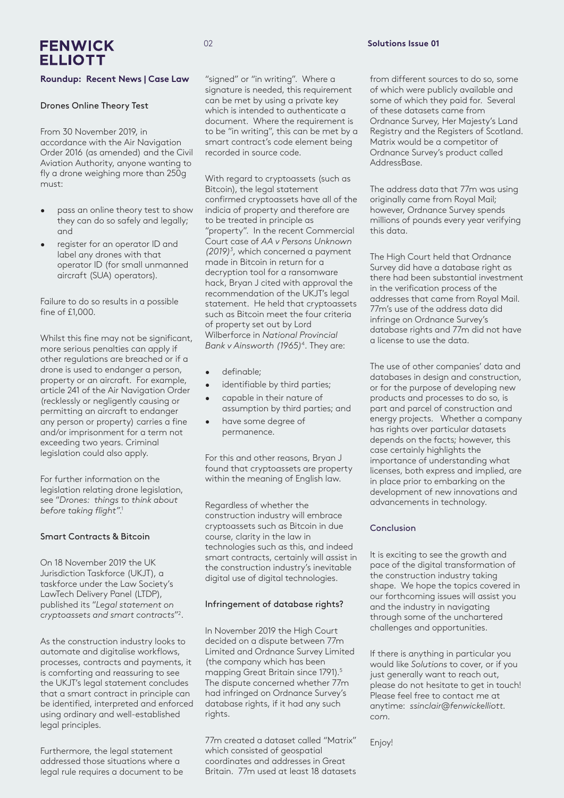# **FENWICK ELLIOTT**

#### **Roundup: Recent News | Case Law**

#### Drones Online Theory Test

From 30 November 2019, in accordance with the Air Navigation Order 2016 (as amended) and the Civil Aviation Authority, anyone wanting to fly a drone weighing more than 250g must:

- pass an online theory test to show they can do so safely and legally; and
- register for an operator ID and label any drones with that operator ID (for small unmanned aircraft (SUA) operators).

Failure to do so results in a possible fine of £1,000.

Whilst this fine may not be significant, more serious penalties can apply if other regulations are breached or if a drone is used to endanger a person, property or an aircraft. For example, article 241 of the Air Navigation Order (recklessly or negligently causing or permitting an aircraft to endanger any person or property) carries a fine and/or imprisonment for a term not exceeding two years. Criminal legislation could also apply.

For further information on the legislation relating drone legislation, see "*Drones: things to think about before taking flight"*. 1

#### Smart Contracts & Bitcoin

On 18 November 2019 the UK Jurisdiction Taskforce (UKJT), a taskforce under the Law Society's LawTech Delivery Panel (LTDP), published its "*Legal statement on cryptoassets and smart contracts*"2 .

As the construction industry looks to automate and digitalise workflows, processes, contracts and payments, it is comforting and reassuring to see the UKJT's legal statement concludes that a smart contract in principle can be identified, interpreted and enforced using ordinary and well-established legal principles.

Furthermore, the legal statement addressed those situations where a legal rule requires a document to be  $\Omega$ 

"signed" or "in writing". Where a signature is needed, this requirement can be met by using a private key which is intended to authenticate a document. Where the requirement is to be "in writing", this can be met by a smart contract's code element being recorded in source code.

With regard to cryptoassets (such as Bitcoin), the legal statement confirmed cryptoassets have all of the indicia of property and therefore are to be treated in principle as "property". In the recent Commercial Court case of *AA v Persons Unknown (2019)3* , which concerned a payment made in Bitcoin in return for a decryption tool for a ransomware hack, Bryan J cited with approval the recommendation of the UKJT's legal statement. He held that cryptoassets such as Bitcoin meet the four criteria of property set out by Lord Wilberforce in *National Provincial Bank v Ainsworth (1965)*<sup>4</sup> . They are:

- definable;
- identifiable by third parties;
- capable in their nature of assumption by third parties; and
- have some degree of permanence.

For this and other reasons, Bryan J found that cryptoassets are property within the meaning of English law.

Regardless of whether the construction industry will embrace cryptoassets such as Bitcoin in due course, clarity in the law in technologies such as this, and indeed smart contracts, certainly will assist in the construction industry's inevitable digital use of digital technologies.

#### Infringement of database rights?

In November 2019 the High Court decided on a dispute between 77m Limited and Ordnance Survey Limited (the company which has been mapping Great Britain since 1791).<sup>5</sup> The dispute concerned whether 77m had infringed on Ordnance Survey's database rights, if it had any such rights.

77m created a dataset called "Matrix" which consisted of geospatial coordinates and addresses in Great Britain. 77m used at least 18 datasets

#### **Solutions Issue 01**

from different sources to do so, some of which were publicly available and some of which they paid for. Several of these datasets came from Ordnance Survey, Her Majesty's Land Registry and the Registers of Scotland. Matrix would be a competitor of Ordnance Survey's product called AddressBase.

The address data that 77m was using originally came from Royal Mail; however, Ordnance Survey spends millions of pounds every year verifying this data.

The High Court held that Ordnance Survey did have a database right as there had been substantial investment in the verification process of the addresses that came from Royal Mail. 77m's use of the address data did infringe on Ordnance Survey's database rights and 77m did not have a license to use the data.

The use of other companies' data and databases in design and construction, or for the purpose of developing new products and processes to do so, is part and parcel of construction and energy projects. Whether a company has rights over particular datasets depends on the facts; however, this case certainly highlights the importance of understanding what licenses, both express and implied, are in place prior to embarking on the development of new innovations and advancements in technology.

#### Conclusion

It is exciting to see the growth and pace of the digital transformation of the construction industry taking shape. We hope the topics covered in our forthcoming issues will assist you and the industry in navigating through some of the unchartered challenges and opportunities.

If there is anything in particular you would like *Solutions* to cover, or if you just generally want to reach out, please do not hesitate to get in touch! Please feel free to contact me at anytime: *ssinclair@fenwickelliott. com.* 

Enjoy!